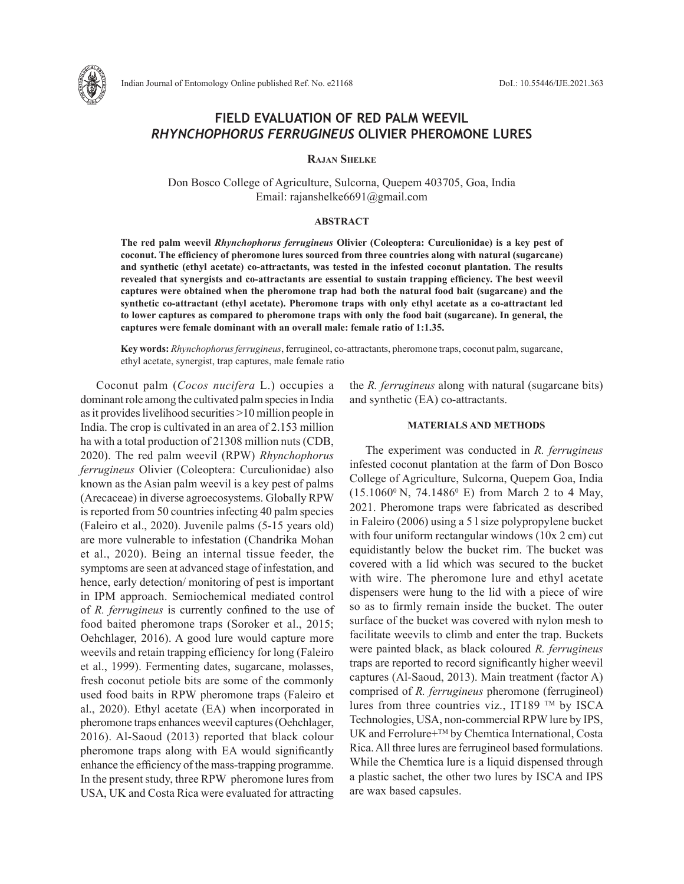

# **FIELD EVALUATION OF RED PALM WEEVIL** *RHYNCHOPHORUS FERRUGINEUS* **OLIVIER PHEROMONE LURES**

**Rajan Shelke**

Don Bosco College of Agriculture, Sulcorna, Quepem 403705, Goa, India Email: rajanshelke6691@gmail.com

## **ABSTRACT**

**The red palm weevil** *Rhynchophorus ferrugineus* **Olivier (Coleoptera: Curculionidae) is a key pest of coconut. The efficiency of pheromone lures sourced from three countries along with natural (sugarcane) and synthetic (ethyl acetate) co-attractants, was tested in the infested coconut plantation. The results revealed that synergists and co-attractants are essential to sustain trapping efficiency. The best weevil captures were obtained when the pheromone trap had both the natural food bait (sugarcane) and the synthetic co-attractant (ethyl acetate). Pheromone traps with only ethyl acetate as a co-attractant led to lower captures as compared to pheromone traps with only the food bait (sugarcane). In general, the captures were female dominant with an overall male: female ratio of 1:1.35.**

**Key words:** *Rhynchophorus ferrugineus*, ferrugineol, co-attractants, pheromone traps, coconut palm, sugarcane, ethyl acetate, synergist, trap captures, male female ratio

Coconut palm (*Cocos nucifera* L.) occupies a dominant role among the cultivated palm species in India as it provides livelihood securities >10 million people in India. The crop is cultivated in an area of 2.153 million ha with a total production of 21308 million nuts (CDB, 2020). The red palm weevil (RPW) *Rhynchophorus ferrugineus* Olivier (Coleoptera: Curculionidae) also known as the Asian palm weevil is a key pest of palms (Arecaceae) in diverse agroecosystems. Globally RPW is reported from 50 countries infecting 40 palm species (Faleiro et al., 2020). Juvenile palms (5-15 years old) are more vulnerable to infestation (Chandrika Mohan et al., 2020). Being an internal tissue feeder, the symptoms are seen at advanced stage of infestation, and hence, early detection/ monitoring of pest is important in IPM approach. Semiochemical mediated control of *R. ferrugineus* is currently confined to the use of food baited pheromone traps (Soroker et al., 2015; Oehchlager, 2016). A good lure would capture more weevils and retain trapping efficiency for long (Faleiro et al., 1999). Fermenting dates, sugarcane, molasses, fresh coconut petiole bits are some of the commonly used food baits in RPW pheromone traps (Faleiro et al., 2020). Ethyl acetate (EA) when incorporated in pheromone traps enhances weevil captures (Oehchlager, 2016). Al-Saoud (2013) reported that black colour pheromone traps along with EA would significantly enhance the efficiency of the mass-trapping programme. In the present study, three RPW pheromone lures from USA, UK and Costa Rica were evaluated for attracting

the *R. ferrugineus* along with natural (sugarcane bits) and synthetic (EA) co-attractants.

## **MATERIALS AND METHODS**

The experiment was conducted in *R. ferrugineus*  infested coconut plantation at the farm of Don Bosco College of Agriculture, Sulcorna, Quepem Goa, India  $(15.1060^{\circ} N, 74.1486^{\circ} E)$  from March 2 to 4 May, 2021. Pheromone traps were fabricated as described in Faleiro (2006) using a 5 l size polypropylene bucket with four uniform rectangular windows (10x 2 cm) cut equidistantly below the bucket rim. The bucket was covered with a lid which was secured to the bucket with wire. The pheromone lure and ethyl acetate dispensers were hung to the lid with a piece of wire so as to firmly remain inside the bucket. The outer surface of the bucket was covered with nylon mesh to facilitate weevils to climb and enter the trap. Buckets were painted black, as black coloured *R. ferrugineus*  traps are reported to record significantly higher weevil captures (Al-Saoud, 2013). Main treatment (factor A) comprised of *R. ferrugineus* pheromone (ferrugineol) lures from three countries viz., IT189 TM by ISCA Technologies, USA, non-commercial RPW lure by IPS, UK and Ferrolure+<sup>™</sup> by Chemtica International, Costa Rica. All three lures are ferrugineol based formulations. While the Chemtica lure is a liquid dispensed through a plastic sachet, the other two lures by ISCA and IPS are wax based capsules.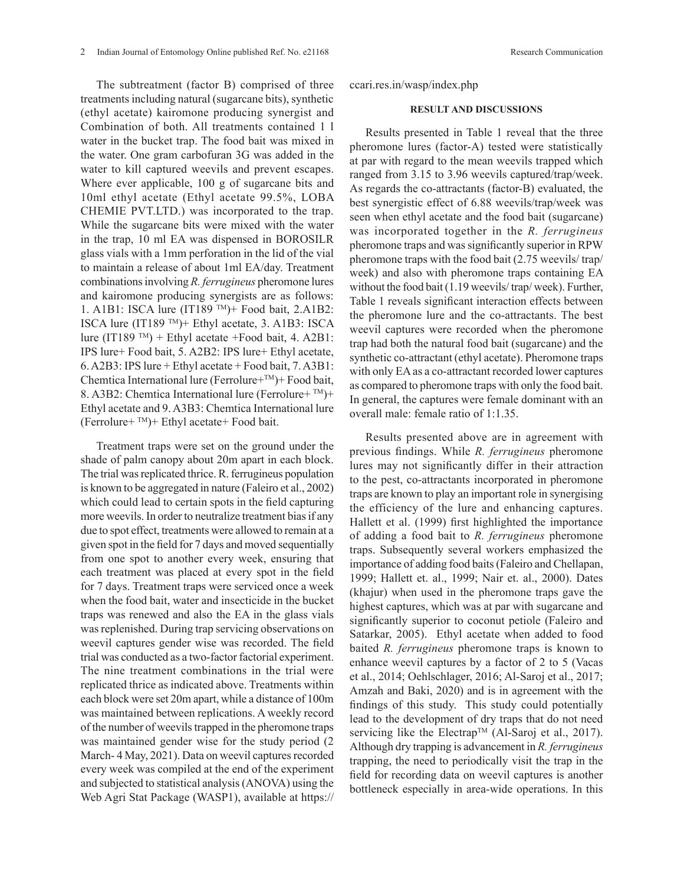The subtreatment (factor B) comprised of three treatments including natural (sugarcane bits), synthetic (ethyl acetate) kairomone producing synergist and Combination of both. All treatments contained 1 l water in the bucket trap. The food bait was mixed in the water. One gram carbofuran 3G was added in the water to kill captured weevils and prevent escapes. Where ever applicable, 100 g of sugarcane bits and 10ml ethyl acetate (Ethyl acetate 99.5%, LOBA CHEMIE PVT.LTD.) was incorporated to the trap. While the sugarcane bits were mixed with the water in the trap, 10 ml EA was dispensed in BOROSILR glass vials with a 1mm perforation in the lid of the vial to maintain a release of about 1ml EA/day. Treatment combinations involving *R. ferrugineus* pheromone lures and kairomone producing synergists are as follows: 1. A1B1: ISCA lure (IT189 TM)+ Food bait, 2.A1B2: ISCA lure (IT189 TM)+ Ethyl acetate, 3. A1B3: ISCA lure (IT189 TM) + Ethyl acetate +Food bait, 4. A2B1: IPS lure+ Food bait, 5. A2B2: IPS lure+ Ethyl acetate, 6. A2B3: IPS lure + Ethyl acetate + Food bait, 7. A3B1: Chemtica International lure (Ferrolure+TM)+ Food bait, 8. A3B2: Chemtica International lure (Ferrolure+  $TM$ )+ Ethyl acetate and 9. A3B3: Chemtica International lure (Ferrolure+ $TM$ )+ Ethyl acetate+ Food bait.

Treatment traps were set on the ground under the shade of palm canopy about 20m apart in each block. The trial was replicated thrice. R. ferrugineus population is known to be aggregated in nature (Faleiro et al., 2002) which could lead to certain spots in the field capturing more weevils. In order to neutralize treatment bias if any due to spot effect, treatments were allowed to remain at a given spot in the field for 7 days and moved sequentially from one spot to another every week, ensuring that each treatment was placed at every spot in the field for 7 days. Treatment traps were serviced once a week when the food bait, water and insecticide in the bucket traps was renewed and also the EA in the glass vials was replenished. During trap servicing observations on weevil captures gender wise was recorded. The field trial was conducted as a two-factor factorial experiment. The nine treatment combinations in the trial were replicated thrice as indicated above. Treatments within each block were set 20m apart, while a distance of 100m was maintained between replications. A weekly record of the number of weevils trapped in the pheromone traps was maintained gender wise for the study period (2 March- 4 May, 2021). Data on weevil captures recorded every week was compiled at the end of the experiment and subjected to statistical analysis (ANOVA) using the Web Agri Stat Package (WASP1), available at https://

## **RESULT AND DISCUSSIONS**

Results presented in Table 1 reveal that the three pheromone lures (factor-A) tested were statistically at par with regard to the mean weevils trapped which ranged from 3.15 to 3.96 weevils captured/trap/week. As regards the co-attractants (factor-B) evaluated, the best synergistic effect of 6.88 weevils/trap/week was seen when ethyl acetate and the food bait (sugarcane) was incorporated together in the *R. ferrugineus* pheromone traps and was significantly superior in RPW pheromone traps with the food bait (2.75 weevils/ trap/ week) and also with pheromone traps containing EA without the food bait (1.19 weevils/ trap/ week). Further, Table 1 reveals significant interaction effects between the pheromone lure and the co-attractants. The best weevil captures were recorded when the pheromone trap had both the natural food bait (sugarcane) and the synthetic co-attractant (ethyl acetate). Pheromone traps with only EA as a co-attractant recorded lower captures as compared to pheromone traps with only the food bait. In general, the captures were female dominant with an overall male: female ratio of 1:1.35.

Results presented above are in agreement with previous findings. While *R. ferrugineus* pheromone lures may not significantly differ in their attraction to the pest, co-attractants incorporated in pheromone traps are known to play an important role in synergising the efficiency of the lure and enhancing captures. Hallett et al. (1999) first highlighted the importance of adding a food bait to *R. ferrugineus* pheromone traps. Subsequently several workers emphasized the importance of adding food baits (Faleiro and Chellapan, 1999; Hallett et. al., 1999; Nair et. al., 2000). Dates (khajur) when used in the pheromone traps gave the highest captures, which was at par with sugarcane and significantly superior to coconut petiole (Faleiro and Satarkar, 2005). Ethyl acetate when added to food baited *R. ferrugineus* pheromone traps is known to enhance weevil captures by a factor of 2 to 5 (Vacas et al., 2014; Oehlschlager, 2016; Al-Saroj et al., 2017; Amzah and Baki, 2020) and is in agreement with the findings of this study. This study could potentially lead to the development of dry traps that do not need servicing like the Electrap<sup>TM</sup> (Al-Saroj et al., 2017). Although dry trapping is advancement in *R. ferrugineus* trapping, the need to periodically visit the trap in the field for recording data on weevil captures is another bottleneck especially in area-wide operations. In this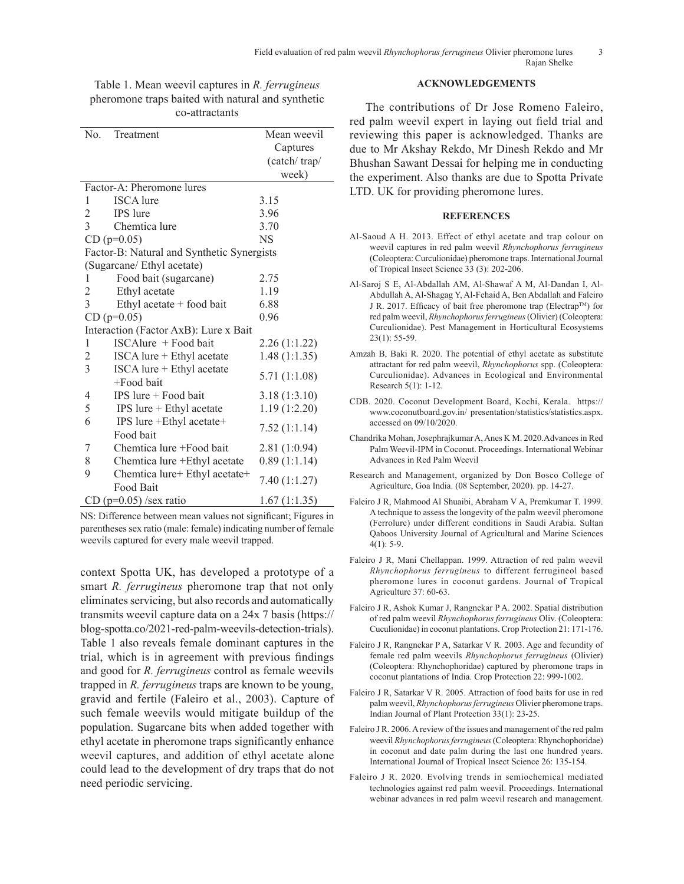| N <sub>0</sub>                             | Treatment                     | Mean weevil   |
|--------------------------------------------|-------------------------------|---------------|
|                                            |                               | Captures      |
|                                            |                               | (catch/trap/  |
|                                            |                               | week)         |
| Factor-A: Pheromone lures                  |                               |               |
| 1                                          | <b>ISCA</b> lure              | 3.15          |
| $\overline{2}$                             | IPS lure                      | 3.96          |
| $\overline{3}$                             | Chemtica lure                 | 3.70          |
|                                            | $CD$ ( $p=0.05$ )             | NS            |
| Factor-B: Natural and Synthetic Synergists |                               |               |
| (Sugarcane/ Ethyl acetate)                 |                               |               |
| 1                                          | Food bait (sugarcane)         | 2.75          |
| $\overline{c}$                             | Ethyl acetate                 | 1.19          |
| $\overline{3}$                             | Ethyl acetate $+$ food bait   | 6.88          |
| $CD$ (p=0.05)                              |                               | 0.96          |
| Interaction (Factor AxB): Lure x Bait      |                               |               |
| 1                                          | ISCAlure + Food bait          | 2.26(1:1.22)  |
| $\overline{c}$                             | ISCA lure + Ethyl acetate     | 1.48(1:1.35)  |
| $\overline{3}$                             | ISCA lure + Ethyl acetate     |               |
|                                            | $+$ Food bait                 | 5.71 (1:1.08) |
| 4                                          | $IPS$ lure $+$ Food bait      | 3.18(1:3.10)  |
| 5                                          | IPS lure + Ethyl acetate      | 1.19(1:2.20)  |
| 6                                          | IPS lure +Ethyl acetate+      |               |
|                                            | Food bait                     | 7.52(1:1.14)  |
| 7                                          | Chemtica lure +Food bait      | 2.81(1:0.94)  |
| 8                                          | Chemtica lure +Ethyl acetate  | 0.89(1:1.14)  |
| 9                                          | Chemtica lure+ Ethyl acetate+ |               |
|                                            | Food Bait                     | 7.40 (1:1.27) |
| $CD$ (p=0.05) /sex ratio                   |                               | 1.67(1:1.35)  |

Table 1. Mean weevil captures in *R. ferrugineus* pheromone traps baited with natural and synthetic co-attractants

NS: Difference between mean values not significant; Figures in parentheses sex ratio (male: female) indicating number of female weevils captured for every male weevil trapped.

context Spotta UK, has developed a prototype of a smart *R. ferrugineus* pheromone trap that not only eliminates servicing, but also records and automatically transmits weevil capture data on a 24x 7 basis (https:// blog-spotta.co/2021-red-palm-weevils-detection-trials). Table 1 also reveals female dominant captures in the trial, which is in agreement with previous findings and good for *R. ferrugineus* control as female weevils trapped in *R. ferrugineus* traps are known to be young, gravid and fertile (Faleiro et al., 2003). Capture of such female weevils would mitigate buildup of the population. Sugarcane bits when added together with ethyl acetate in pheromone traps significantly enhance weevil captures, and addition of ethyl acetate alone could lead to the development of dry traps that do not need periodic servicing.

## **ACKNOWLEDGEMENTS**

The contributions of Dr Jose Romeno Faleiro, red palm weevil expert in laying out field trial and reviewing this paper is acknowledged. Thanks are due to Mr Akshay Rekdo, Mr Dinesh Rekdo and Mr Bhushan Sawant Dessai for helping me in conducting the experiment. Also thanks are due to Spotta Private LTD. UK for providing pheromone lures.

## **REFERENCES**

- Al-Saoud A H. 2013. Effect of ethyl acetate and trap colour on weevil captures in red palm weevil *Rhynchophorus ferrugineus* (Coleoptera: Curculionidae) pheromone traps. International Journal of Tropical Insect Science 33 (3): 202-206.
- Al-Saroj S E, Al-Abdallah AM, Al-Shawaf A M, Al-Dandan I, Al-Abdullah A, Al-Shagag Y, Al-Fehaid A, Ben Abdallah and Faleiro J R. 2017. Efficacy of bait free pheromone trap (ElectrapTM) for red palm weevil, *Rhynchophorus ferrugineus* (Olivier) (Coleoptera: Curculionidae). Pest Management in Horticultural Ecosystems 23(1): 55-59.
- Amzah B, Baki R. 2020. The potential of ethyl acetate as substitute attractant for red palm weevil, *Rhynchophorus* spp. (Coleoptera: Curculionidae). Advances in Ecological and Environmental Research 5(1): 1-12.
- CDB. 2020. Coconut Development Board, Kochi, Kerala. https:// www.coconutboard.gov.in/ presentation/statistics/statistics.aspx. accessed on 09/10/2020.
- Chandrika Mohan, Josephrajkumar A, Anes K M. 2020.Advances in Red Palm Weevil-IPM in Coconut. Proceedings. International Webinar Advances in Red Palm Weevil
- Research and Management, organized by Don Bosco College of Agriculture, Goa India. (08 September, 2020). pp. 14-27.
- Faleiro J R, Mahmood Al Shuaibi, Abraham V A, Premkumar T. 1999. A technique to assess the longevity of the palm weevil pheromone (Ferrolure) under different conditions in Saudi Arabia. Sultan Qaboos University Journal of Agricultural and Marine Sciences 4(1): 5-9.
- Faleiro J R, Mani Chellappan. 1999. Attraction of red palm weevil *Rhynchophorus ferrugineus* to different ferrugineol based pheromone lures in coconut gardens. Journal of Tropical Agriculture 37: 60-63.
- Faleiro J R, Ashok Kumar J, Rangnekar P A. 2002. Spatial distribution of red palm weevil *Rhynchophorus ferrugineus* Oliv. (Coleoptera: Cuculionidae) in coconut plantations. Crop Protection 21: 171-176.
- Faleiro J R, Rangnekar P A, Satarkar V R. 2003. Age and fecundity of female red palm weevils *Rhynchophorus ferrugineus* (Olivier) (Coleoptera: Rhynchophoridae) captured by pheromone traps in coconut plantations of India. Crop Protection 22: 999-1002.
- Faleiro J R, Satarkar V R. 2005. Attraction of food baits for use in red palm weevil, *Rhynchophorus ferrugineus* Olivier pheromone traps. Indian Journal of Plant Protection 33(1): 23-25.
- Faleiro J R. 2006. A review of the issues and management of the red palm weevil *Rhynchophorus ferrugineus* (Coleoptera: Rhynchophoridae) in coconut and date palm during the last one hundred years. International Journal of Tropical Insect Science 26: 135-154.
- Faleiro J R. 2020. Evolving trends in semiochemical mediated technologies against red palm weevil. Proceedings. International webinar advances in red palm weevil research and management.